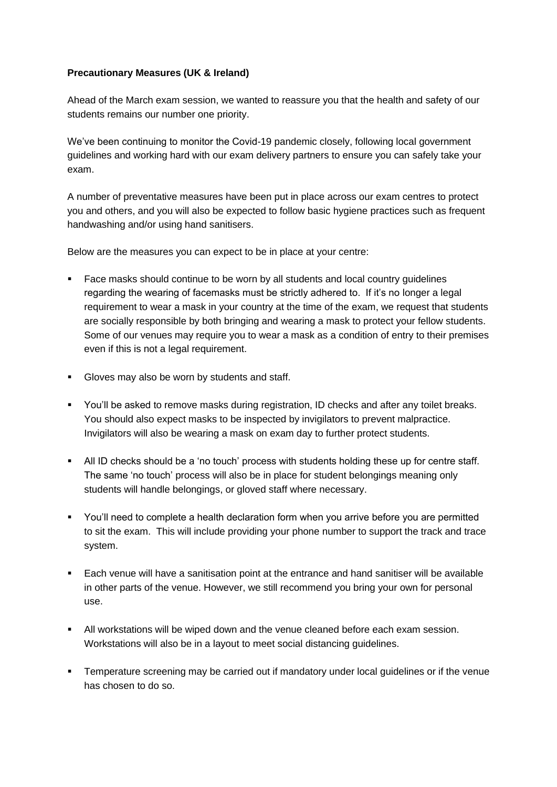## **Precautionary Measures (UK & Ireland)**

Ahead of the March exam session, we wanted to reassure you that the health and safety of our students remains our number one priority.

We've been continuing to monitor the Covid-19 pandemic closely, following local government guidelines and working hard with our exam delivery partners to ensure you can safely take your exam.

A number of preventative measures have been put in place across our exam centres to protect you and others, and you will also be expected to follow basic hygiene practices such as frequent handwashing and/or using hand sanitisers.

Below are the measures you can expect to be in place at your centre:

- Face masks should continue to be worn by all students and local country guidelines regarding the wearing of facemasks must be strictly adhered to. If it's no longer a legal requirement to wear a mask in your country at the time of the exam, we request that students are socially responsible by both bringing and wearing a mask to protect your fellow students. Some of our venues may require you to wear a mask as a condition of entry to their premises even if this is not a legal requirement.
- Gloves may also be worn by students and staff.
- You'll be asked to remove masks during registration, ID checks and after any toilet breaks. You should also expect masks to be inspected by invigilators to prevent malpractice. Invigilators will also be wearing a mask on exam day to further protect students.
- All ID checks should be a 'no touch' process with students holding these up for centre staff. The same 'no touch' process will also be in place for student belongings meaning only students will handle belongings, or gloved staff where necessary.
- You'll need to complete a health declaration form when you arrive before you are permitted to sit the exam. This will include providing your phone number to support the track and trace system.
- Each venue will have a sanitisation point at the entrance and hand sanitiser will be available in other parts of the venue. However, we still recommend you bring your own for personal use.
- All workstations will be wiped down and the venue cleaned before each exam session. Workstations will also be in a layout to meet social distancing guidelines.
- **•** Temperature screening may be carried out if mandatory under local guidelines or if the venue has chosen to do so.